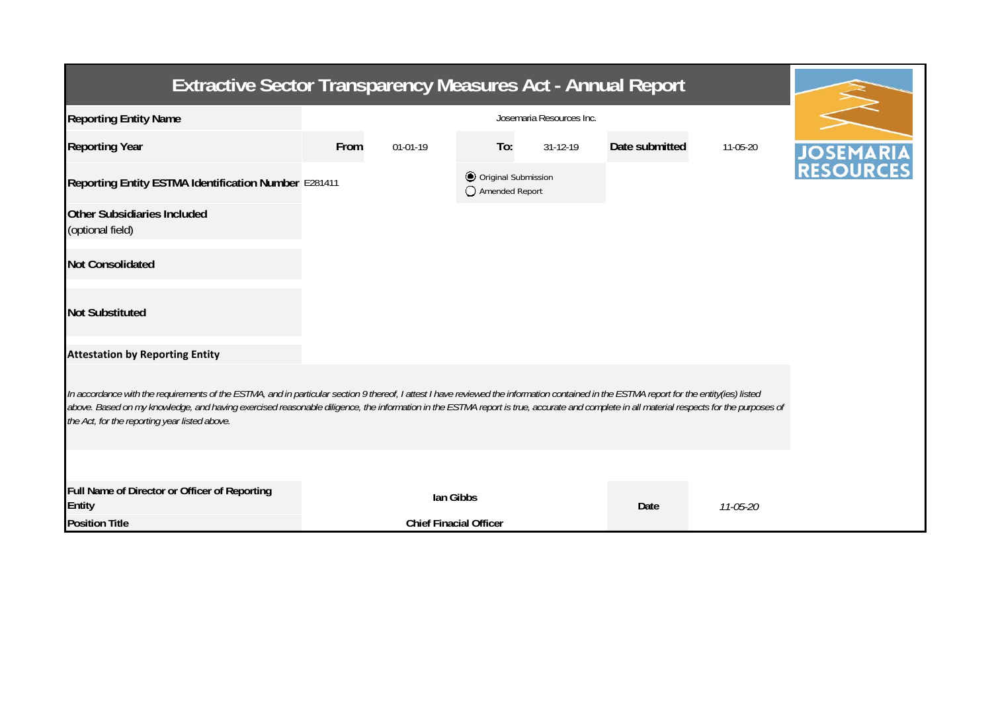| <b>Extractive Sector Transparency Measures Act - Annual Report</b>                                                                                                                                                                                                                                                                                                                                                                    |      |                               |                                         |                |                |          |       |  |  |  |
|---------------------------------------------------------------------------------------------------------------------------------------------------------------------------------------------------------------------------------------------------------------------------------------------------------------------------------------------------------------------------------------------------------------------------------------|------|-------------------------------|-----------------------------------------|----------------|----------------|----------|-------|--|--|--|
| <b>Reporting Entity Name</b>                                                                                                                                                                                                                                                                                                                                                                                                          |      |                               |                                         |                |                |          |       |  |  |  |
| <b>Reporting Year</b>                                                                                                                                                                                                                                                                                                                                                                                                                 | From | 01-01-19                      | To:                                     | $31 - 12 - 19$ | Date submitted | 11-05-20 | JOSEM |  |  |  |
| Reporting Entity ESTMA Identification Number E281411                                                                                                                                                                                                                                                                                                                                                                                  |      |                               | O Original Submission<br>Amended Report |                |                |          |       |  |  |  |
| <b>Other Subsidiaries Included</b><br>(optional field)                                                                                                                                                                                                                                                                                                                                                                                |      |                               |                                         |                |                |          |       |  |  |  |
| <b>Not Consolidated</b>                                                                                                                                                                                                                                                                                                                                                                                                               |      |                               |                                         |                |                |          |       |  |  |  |
| <b>Not Substituted</b>                                                                                                                                                                                                                                                                                                                                                                                                                |      |                               |                                         |                |                |          |       |  |  |  |
| <b>Attestation by Reporting Entity</b>                                                                                                                                                                                                                                                                                                                                                                                                |      |                               |                                         |                |                |          |       |  |  |  |
| In accordance with the requirements of the ESTMA, and in particular section 9 thereof, I attest I have reviewed the information contained in the ESTMA report for the entity(ies) listed<br>above. Based on my knowledge, and having exercised reasonable diligence, the information in the ESTMA report is true, accurate and complete in all material respects for the purposes of<br>the Act, for the reporting year listed above. |      |                               |                                         |                |                |          |       |  |  |  |
|                                                                                                                                                                                                                                                                                                                                                                                                                                       |      |                               |                                         |                |                |          |       |  |  |  |
| Full Name of Director or Officer of Reporting<br><b>Entity</b>                                                                                                                                                                                                                                                                                                                                                                        |      |                               | lan Gibbs                               |                | Date           | 11-05-20 |       |  |  |  |
| <b>Position Title</b>                                                                                                                                                                                                                                                                                                                                                                                                                 |      | <b>Chief Finacial Officer</b> |                                         |                |                |          |       |  |  |  |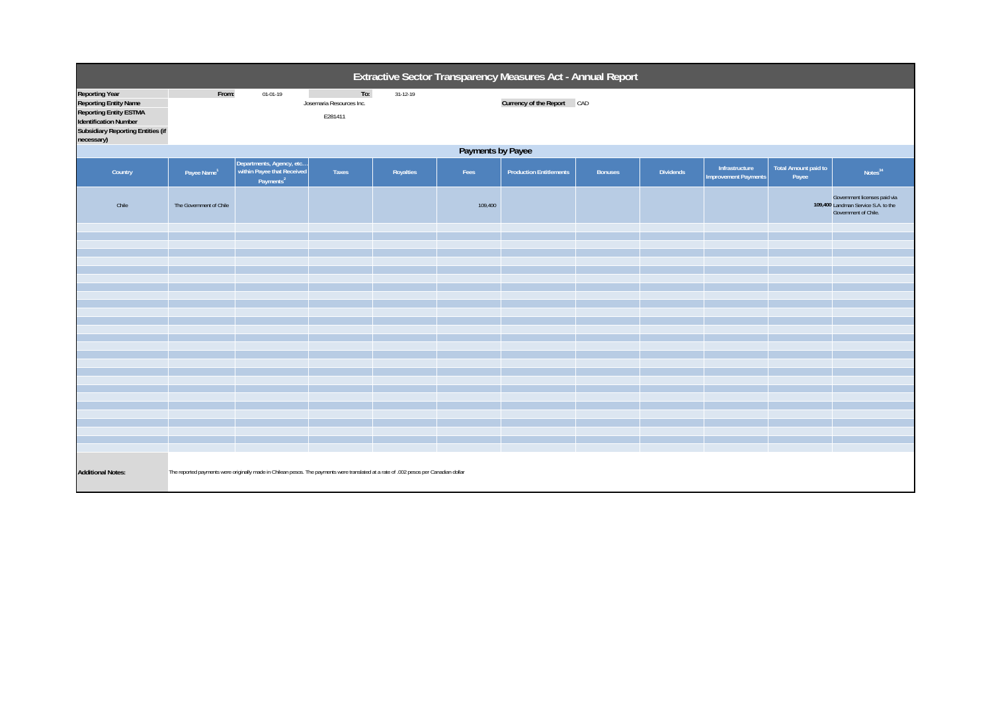| Extractive Sector Transparency Measures Act - Annual Report                                                                                                                      |                                                                                                                                       |                                                                                 |                                            |           |         |                                |                |                  |                                               |                                      |                                                                                             |  |
|----------------------------------------------------------------------------------------------------------------------------------------------------------------------------------|---------------------------------------------------------------------------------------------------------------------------------------|---------------------------------------------------------------------------------|--------------------------------------------|-----------|---------|--------------------------------|----------------|------------------|-----------------------------------------------|--------------------------------------|---------------------------------------------------------------------------------------------|--|
| <b>Reporting Year</b><br><b>Reporting Entity Name</b><br><b>Reporting Entity ESTMA</b><br><b>Identification Number</b><br><b>Subsidiary Reporting Entities (if</b><br>necessary) | From:                                                                                                                                 | $01 - 01 - 19$                                                                  | To:<br>Josemaria Resources Inc.<br>E281411 | 31-12-19  |         | Currency of the Report CAD     |                |                  |                                               |                                      |                                                                                             |  |
|                                                                                                                                                                                  | Payments by Payee                                                                                                                     |                                                                                 |                                            |           |         |                                |                |                  |                                               |                                      |                                                                                             |  |
| Country                                                                                                                                                                          | Payee Name <sup>1</sup>                                                                                                               | Departments, Agency, etc<br>within Payee that Received<br>Payments <sup>2</sup> | Taxes                                      | Royalties | Fees    | <b>Production Entitlements</b> | <b>Bonuses</b> | <b>Dividends</b> | Infrastructure<br><b>Improvement Payments</b> | <b>Total Amount paid to</b><br>Payee | Notes <sup>34</sup>                                                                         |  |
| Chile                                                                                                                                                                            | The Government of Chile                                                                                                               |                                                                                 |                                            |           | 109,400 |                                |                |                  |                                               |                                      | Government licenses paid via<br>109,400 Landman Service S.A. to the<br>Government of Chile. |  |
|                                                                                                                                                                                  |                                                                                                                                       |                                                                                 |                                            |           |         |                                |                |                  |                                               |                                      |                                                                                             |  |
|                                                                                                                                                                                  |                                                                                                                                       |                                                                                 |                                            |           |         |                                |                |                  |                                               |                                      |                                                                                             |  |
|                                                                                                                                                                                  |                                                                                                                                       |                                                                                 |                                            |           |         |                                |                |                  |                                               |                                      |                                                                                             |  |
|                                                                                                                                                                                  |                                                                                                                                       |                                                                                 |                                            |           |         |                                |                |                  |                                               |                                      |                                                                                             |  |
|                                                                                                                                                                                  |                                                                                                                                       |                                                                                 |                                            |           |         |                                |                |                  |                                               |                                      |                                                                                             |  |
|                                                                                                                                                                                  |                                                                                                                                       |                                                                                 |                                            |           |         |                                |                |                  |                                               |                                      |                                                                                             |  |
|                                                                                                                                                                                  |                                                                                                                                       |                                                                                 |                                            |           |         |                                |                |                  |                                               |                                      |                                                                                             |  |
|                                                                                                                                                                                  |                                                                                                                                       |                                                                                 |                                            |           |         |                                |                |                  |                                               |                                      |                                                                                             |  |
|                                                                                                                                                                                  |                                                                                                                                       |                                                                                 |                                            |           |         |                                |                |                  |                                               |                                      |                                                                                             |  |
|                                                                                                                                                                                  |                                                                                                                                       |                                                                                 |                                            |           |         |                                |                |                  |                                               |                                      |                                                                                             |  |
|                                                                                                                                                                                  |                                                                                                                                       |                                                                                 |                                            |           |         |                                |                |                  |                                               |                                      |                                                                                             |  |
|                                                                                                                                                                                  |                                                                                                                                       |                                                                                 |                                            |           |         |                                |                |                  |                                               |                                      |                                                                                             |  |
|                                                                                                                                                                                  |                                                                                                                                       |                                                                                 |                                            |           |         |                                |                |                  |                                               |                                      |                                                                                             |  |
| <b>Additional Notes:</b>                                                                                                                                                         | The reported payments were originally made in Chilean pesos. The payments were translated at a rate of .002 pesos per Canadian dollar |                                                                                 |                                            |           |         |                                |                |                  |                                               |                                      |                                                                                             |  |